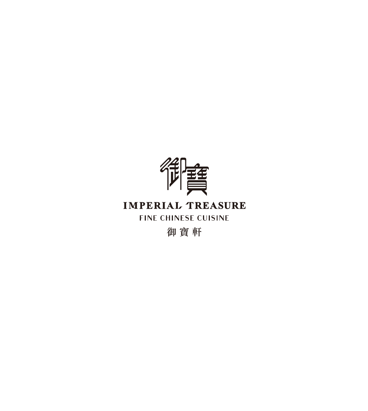

## **IMPERIAL TREASURE**

**FINE CHINESE CUISINE** 

御寶軒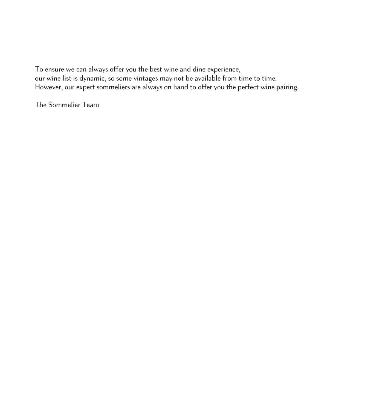To ensure we can always offer you the best wine and dine experience, our wine list is dynamic, so some vintages may not be available from time to time. However, our expert sommeliers are always on hand to offer you the perfect wine pairing.

The Sommelier Team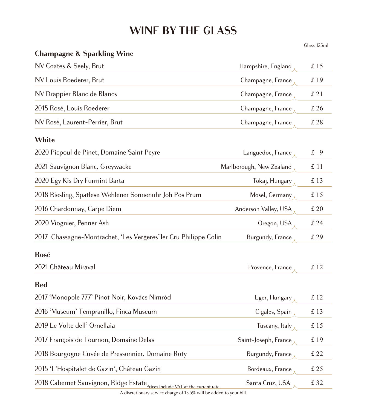# **WINE BY THE GLASS**

Glass 125ml

#### **Champagne & Sparkling Wine**

| NV Coates & Seely, Brut                                         | Hampshire, England       | £15  |
|-----------------------------------------------------------------|--------------------------|------|
| NV Louis Roederer, Brut                                         | Champagne, France        | £ 19 |
| NV Drappier Blanc de Blancs                                     | Champagne, France        | £21  |
| 2015 Rosé, Louis Roederer                                       | Champagne, France        | £26  |
| NV Rosé, Laurent-Perrier, Brut                                  | Champagne, France        | £ 28 |
| White                                                           |                          |      |
| 2020 Picpoul de Pinet, Domaine Saint Peyre                      | Languedoc, France        | £ 9  |
| 2021 Sauvignon Blanc, Greywacke                                 | Marlborough, New Zealand | £ 11 |
| 2020 Egy Kis Dry Furmint Barta                                  | Tokaj, Hungary           | £13  |
| 2018 Riesling, Spatlese Wehlener Sonnenuhr Joh Pos Prum         | Mosel, Germany           | £15  |
| 2016 Chardonnay, Carpe Diem                                     | Anderson Valley, USA     | £20  |
| 2020 Viognier, Penner Ash                                       | Oregon, USA              | £ 24 |
| 2017 Chassagne-Montrachet, 'Les Vergeres'1er Cru Philippe Colin | Burgundy, France         | £ 29 |
| Rosé                                                            |                          |      |
| 2021 Château Miraval                                            | Provence, France         | £12  |
| <b>Red</b>                                                      |                          |      |
| 2017 'Monopole 777' Pinot Noir, Kovács Nimród                   | Eger, Hungary            | £12  |
| 2016 'Museum' Tempranillo, Finca Museum                         | Cigales, Spain           | £13  |
| 2019 Le Volte dell' Ornellaia                                   | Tuscany, Italy           | £15  |
| 2017 François de Tournon, Domaine Delas                         | Saint-Joseph, France     | £ 19 |
| 2018 Bourgogne Cuvée de Pressonnier, Domaine Roty               | Burgundy, France         | £ 22 |
|                                                                 |                          |      |

2015 'L'Hospitalet de Gazin', Château Gazin Bordeaux, France £ 25

 $\frac{2018 \text{ Cabernet Sauvignon, Ridge Estate}}{\text{Price}}$   $\frac{\text{Prices include } \text{VAT at the current rate.}}{\text{State State}}$ 

A discretionary service charge of 13.5% will be added to your bill.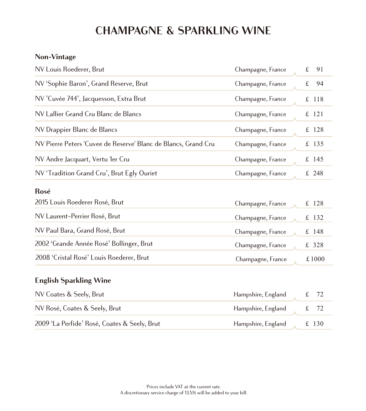# **CHAMPAGNE & SPARKLING WINE**

#### **Non-Vintage**

| NV Louis Roederer, Brut<br>Champagne, France                                        | $\pounds$<br>91    |
|-------------------------------------------------------------------------------------|--------------------|
| NV 'Sophie Baron', Grand Reserve, Brut<br>Champagne, France                         | $\pounds$<br>94    |
| NV 'Cuvée 744', Jacquesson, Extra Brut<br>Champagne, France                         | $\mathbf f$<br>118 |
| NV Lallier Grand Cru Blanc de Blancs<br>Champagne, France                           | 121<br>£           |
| NV Drappier Blanc de Blancs<br>Champagne, France                                    | $\pounds$<br>128   |
| NV Pierre Peters 'Cuvee de Reserve' Blanc de Blancs, Grand Cru<br>Champagne, France | £ 135              |
| NV Andre Jacquart, Vertu 1er Cru<br>Champagne, France                               | £ 145              |
| NV 'Tradition Grand Cru', Brut Egly Ouriet<br>Champagne, France                     | £ 248              |
| Rosé                                                                                |                    |
| 2015 Louis Roederer Rosé, Brut<br>Champagne, France                                 | £<br>128           |
| NV Laurent-Perrier Rosé, Brut<br>Champagne, France                                  | £ 132              |
| NV Paul Bara, Grand Rosé, Brut<br>Champagne, France                                 | $£$ 148            |
| 2002 'Grande Année Rosé' Bollinger, Brut<br>Champagne, France                       | £ 328              |
| 2008 'Cristal Rosé' Louis Roederer, Brut<br>Champagne, France                       | £1000              |

### **English Sparkling Wine**

| NV Coates & Seely, Brut                      | Hampshire, England $f$ 72  |  |  |
|----------------------------------------------|----------------------------|--|--|
| NV Rosé, Coates & Seely, Brut                | Hampshire, England $f$ 72  |  |  |
| 2009 'La Perfide' Rosé, Coates & Seely, Brut | Hampshire, England f £ 130 |  |  |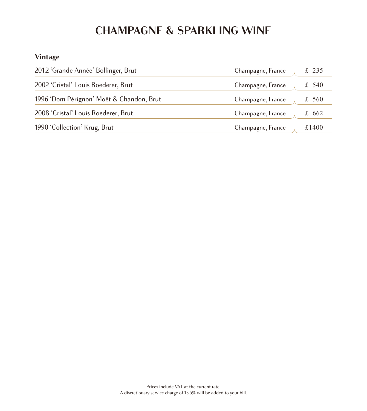# **CHAMPAGNE & SPARKLING WINE**

### **Vintage**

| 2012 'Grande Année' Bollinger, Brut      | Champagne, France | £ 235 |
|------------------------------------------|-------------------|-------|
| 2002 'Cristal' Louis Roederer, Brut      | Champagne, France | £ 540 |
| 1996 'Dom Pérignon' Moët & Chandon, Brut | Champagne, France | £ 560 |
| 2008 'Cristal' Louis Roederer, Brut      | Champagne, France | £ 662 |
| 1990 'Collection' Krug, Brut             | Champagne, France | £1400 |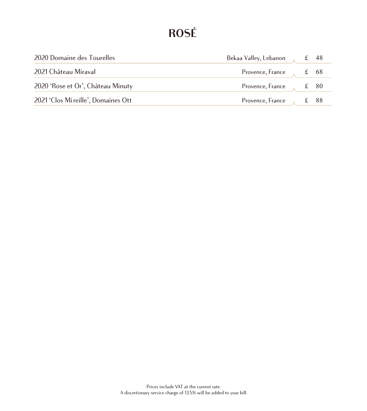# **ROSÉ**

| 2020 Domaine des Tourelles          | Bekaa Valley, Lebanon ff 48     |  |
|-------------------------------------|---------------------------------|--|
| 2021 Château Miraval                | Provence, France $f(x)$ f 68    |  |
| 2020 'Rose et Or', Château Minuty   | Provence, France $f(x) = 80$    |  |
| 2021 'Clos Mi reille', Domaines Ott | Provence, France $\lambda$ £ 88 |  |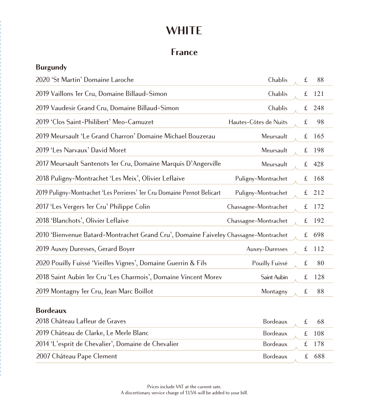## **France**

#### **Burgundy**

| 2020 'St Martin' Domaine Laroche                                                    | Chablis               | $\pounds$   | 88  |
|-------------------------------------------------------------------------------------|-----------------------|-------------|-----|
| 2019 Vaillons 1er Cru, Domaine Billaud-Simon                                        | Chablis               | $\pounds$   | 121 |
| 2019 Vaudesir Grand Cru, Domaine Billaud-Simon                                      | Chablis               | £           | 248 |
| 2019 'Clos Saint-Philibert' Meo-Camuzet                                             | Hautes-Côtes de Nuits | $\pounds$   | 98  |
| 2019 Meursault 'Le Grand Charron' Domaine Michael Bouzerau                          | Meursault             | $\pounds$   | 165 |
| 2019 'Les Narvaux' David Moret                                                      | Meursault             | $\pounds$   | 198 |
| 2017 Meursault Santenots 1er Cru, Domaine Marquis D'Angerville                      | Meursault             | $\pounds$   | 428 |
| 2018 Puligny-Montrachet 'Les Meix', Olivier Leflaive                                | Puligny-Montrachet    | $\pounds$   | 168 |
| 2019 Puligny-Montrachet 'Les Perrieres' 1er Cru Domaine Pernot Belicart             | Puligny-Montrachet    | £           | 212 |
| 2017 'Les Vergers 1er Cru' Philippe Colin                                           | Chassagne-Montrachet  | $\pounds$   | 172 |
| 2018 'Blanchots', Olivier Leflaive                                                  | Chassagne-Montrachet  | $\mathbf f$ | 192 |
| 2010 'Bienvenue Batard-Montrachet Grand Cru', Domaine Faiveley Chassagne-Montrachet |                       | $\pounds$   | 698 |
| 2019 Auxey Duresses, Gerard Boyer                                                   | Auxey-Duresses        | $\pounds$   | 112 |
| 2020 Pouilly Fuissé 'Vieilles Vignes', Domaine Guerrin & Fils                       | Pouilly Fuissé        | $\mathbf f$ | 80  |
| 2018 Saint Aubin 1er Cru 'Les Charmois', Domaine Vincent Morev                      | Saint Aubin           | $\pounds$   | 128 |
| 2019 Montagny 1er Cru, Jean Marc Boillot                                            | Montagny              | $\pounds$   | 88  |

#### **Bordeaux**

| 2018 Château Lafleur de Graves                     | Bordeaux $\qquad \qquad$ £ 68  |  |
|----------------------------------------------------|--------------------------------|--|
| 2019 Château de Clarke, Le Merle Blanc             | Bordeaux $\qquad \qquad$ £ 108 |  |
| 2014 'L'esprit de Chevalier', Domaine de Chevalier | Bordeaux £ 178                 |  |
| 2007 Château Pape Clement                          | Bordeaux £ 688                 |  |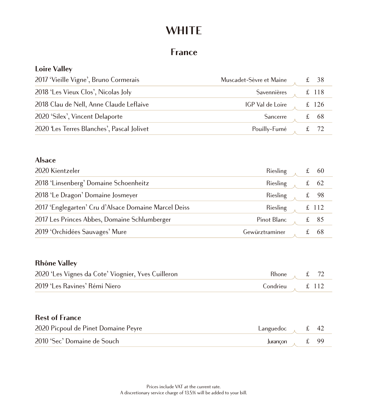### **France**

#### **Loire Valley**

| 2017 'Vieille Vigne', Bruno Cormerais     | Muscadet-Sèvre et Maine | £ $38$              |
|-------------------------------------------|-------------------------|---------------------|
| 2018 'Les Vieux Clos', Nicolas Joly       | Savennières             | $£$ 118             |
| 2018 Clau de Nell, Anne Claude Leflaive   | IGP Val de Loire        | £ 126               |
| 2020 'Silex', Vincent Delaporte           | Sancerre                | $\textsterling} 68$ |
| 2020 Les Terres Blanches', Pascal Jolivet | Pouilly-Fumé            |                     |

#### **Alsace**

| 2020 Kientzeler                                      | Riesling       |   | - 60   |
|------------------------------------------------------|----------------|---|--------|
| 2018 'Linsenberg' Domaine Schoenheitz                | Riesling       |   | - 62   |
| 2018 'Le Dragon' Domaine Josmeyer                    | Riesling       |   | £ $98$ |
| 2017 'Englegarten' Cru d'Alsace Domaine Marcel Deiss | Riesling       |   | £ 112  |
| 2017 Les Princes Abbes, Domaine Schlumberger         | Pinot Blanc    | £ | 85     |
| 2019 'Orchidées Sauvages' Mure                       | Gewürztraminer |   | 68     |

#### **Rhône Valley**

| 2020 'Les Vignes da Cote' Viognier, Yves Cuilleron | Rhone, $\text{£}$ 72      |  |
|----------------------------------------------------|---------------------------|--|
| 2019 'Les Ravines' Rémi Niero                      | Condrieu $\therefore$ 112 |  |

#### **Rest of France**

| 2020 Picpoul de Pinet Domaine Peyre | Languedoc $f$ $f$ 42 |  |
|-------------------------------------|----------------------|--|
| 2010 'Sec' Domaine de Souch         | Jurançon $f$ 99      |  |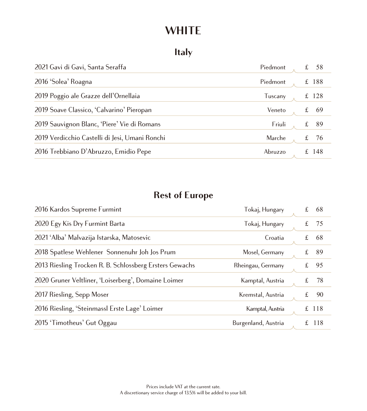## **Italy**

| 2021 Gavi di Gavi, Santa Seraffa               | Piedmont |   | 58    |
|------------------------------------------------|----------|---|-------|
| 2016 'Solea' Roagna                            | Piedmont |   | £ 188 |
| 2019 Poggio ale Grazze dell'Ornellaia          | Tuscany  | £ | 128   |
| 2019 Soave Classico, 'Calvarino' Pieropan      | Veneto   | £ | 69    |
| 2019 Sauvignon Blanc, 'Piere' Vie di Romans    | Friuli   | £ | -89   |
| 2019 Verdicchio Castelli di Jesi, Umani Ronchi | Marche   | £ | 76    |
| 2016 Trebbiano D'Abruzzo, Emidio Pepe          | Abruzzo  |   | £ 148 |

## **Rest of Europe**

| 2016 Kardos Supreme Furmint                             | Tokaj, Hungary      | £ | 68      |
|---------------------------------------------------------|---------------------|---|---------|
| 2020 Egy Kis Dry Furmint Barta                          | Tokaj, Hungary      | £ | 75      |
| 2021 'Alba' Malvazija Istarska, Matosevic               | Croatia             | £ | 68      |
| 2018 Spatlese Wehlener Sonnenuhr Joh Jos Prum           | Mosel, Germany      | £ | 89      |
| 2013 Riesling Trocken R. B. Schlossberg Ersters Gewachs | Rheingau, Germany   | £ | 95      |
| 2020 Gruner Veltliner, 'Loiserberg', Domaine Loimer     | Kamptal, Austria    | £ | 78      |
| 2017 Riesling, Sepp Moser                               | Kremstal, Austria   | £ | 90      |
| 2016 Riesling, 'Steinmassl Erste Lage' Loimer           | Kamptal, Austria    |   | £ 118   |
| 2015 'Timotheus' Gut Oggau                              | Burgenland, Austria |   | £ $118$ |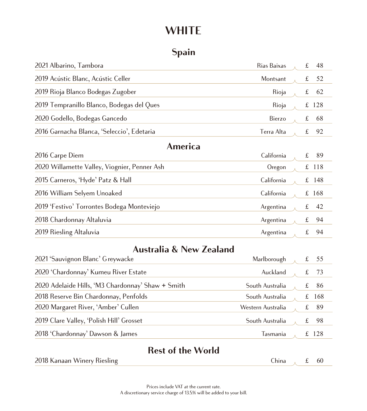## **Spain**

| 2021 Albarino, Tambora                       | Rias Baixas   | f           | 48      |
|----------------------------------------------|---------------|-------------|---------|
| 2019 Acústic Blanc, Acústic Celler           | Montsant      | $\mathbf f$ | 52      |
| 2019 Rioja Blanco Bodegas Zugober            | Rioja         | $\mathbf f$ | 62      |
| 2019 Tempranillo Blanco, Bodegas del Ques    | Rioja         | $f_{\rm c}$ | 128     |
| 2020 Godello, Bodegas Gancedo                | <b>Bierzo</b> | $\pounds$   | 68      |
| 2016 Garnacha Blanca, 'Seleccio', Edetaria   | Terra Alta    | £           | 92      |
| America                                      |               |             |         |
| 2016 Carpe Diem                              | California    | $\pounds$   | 89      |
| 2020 Willamette Valley, Viognier, Penner Ash | Oregon        |             | $£$ 118 |
| 2015 Carneros, 'Hyde' Patz & Hall            | California    | $f_{\rm L}$ | 148     |
| 2016 William Selyem Unoaked                  | California    |             | £168    |
| 2019 'Festivo' Torrontes Bodega Monteviejo   | Argentina     | $\mathbf f$ | 42      |
| 2018 Chardonnay Altaluvia                    | Argentina     | $\mathbf f$ | 94      |
| 2019 Riesling Altaluvia                      | Argentina     | $\mathbf f$ | 94      |
|                                              |               |             |         |

### **Australia & New Zealand**

| 2021 'Sauvignon Blanc' Greywacke                  | Marlborough       | 55    |
|---------------------------------------------------|-------------------|-------|
| 2020 'Chardonnay' Kumeu River Estate              | Auckland          | 73    |
| 2020 Adelaide Hills, 'M3 Chardonnay' Shaw + Smith | South Australia   | 86    |
| 2018 Reserve Bin Chardonnay, Penfolds             | South Australia   | -168  |
| 2020 Margaret River, 'Amber' Cullen               | Western Australia | -89   |
| 2019 Clare Valley, 'Polish Hill' Grosset          | South Australia   | 98    |
| 2018 'Chardonnay' Dawson & James                  | Tasmania          | £ 128 |

### **Rest of the World**

| 2018 Kanaan Winery Riesling | – hına | 60 |
|-----------------------------|--------|----|
|                             |        |    |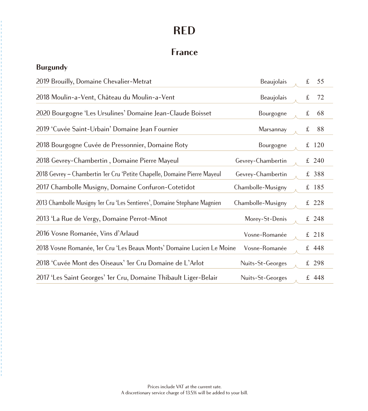## **France**

#### **Burgundy**

| 2019 Brouilly, Domaine Chevalier-Metrat                                  | Beaujolais        | $\pounds$ | 55      |
|--------------------------------------------------------------------------|-------------------|-----------|---------|
| 2018 Moulin-a-Vent, Château du Moulin-a-Vent                             | Beaujolais        | $\pounds$ | 72      |
| 2020 Bourgogne 'Les Ursulines' Domaine Jean-Claude Boisset               | Bourgogne         | $\pounds$ | 68      |
| 2019 'Cuvée Saint-Urbain' Domaine Jean Fournier                          | Marsannay         | $\pounds$ | 88      |
| 2018 Bourgogne Cuvée de Pressonnier, Domaine Roty                        | Bourgogne         |           | £ 120   |
| 2018 Gevrey-Chambertin, Domaine Pierre Mayeul                            | Gevrey-Chambertin |           | £ 240   |
| 2018 Gevrey – Chambertin 1er Cru 'Petite Chapelle, Domaine Pierre Mayeul | Gevrey-Chambertin |           | £ 388   |
| 2017 Chambolle Musigny, Domaine Confuron-Cotetidot                       | Chambolle-Musigny |           | £ 185   |
| 2013 Chambolle Musigny 1er Cru 'Les Sentieres', Domaine Stephane Magnien | Chambolle-Musigny |           | £ 228   |
| 2013 'La Rue de Vergy, Domaine Perrot-Minot                              | Morey-St-Denis    |           | $£$ 248 |
| 2016 Vosne Romanée, Vins d'Arlaud                                        | Vosne-Romanée     |           | £ 218   |
| 2018 Vosne Romanée, 1er Cru 'Les Beaux Monts' Domaine Lucien Le Moine    | Vosne-Romanée     |           | £ 448   |
| 2018 'Cuvée Mont des Oiseaux' 1er Cru Domaine de L'Arlot                 | Nuits-St-Georges  |           | £ 298   |
| 2017 'Les Saint Georges' 1er Cru, Domaine Thibault Liger-Belair          | Nuits-St-Georges  |           | £ 448   |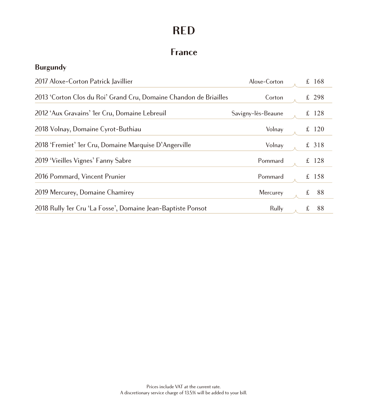## **France**

#### **Burgundy**

| 2017 Aloxe-Corton Patrick Javillier                               | Aloxe-Corton       |   | £ 168   |
|-------------------------------------------------------------------|--------------------|---|---------|
| 2013 'Corton Clos du Roi' Grand Cru, Domaine Chandon de Briailles | Corton             |   | £ 298   |
| 2012 'Aux Gravains' 1er Cru, Domaine Lebreuil                     | Savigny-lès-Beaune |   | £ $128$ |
| 2018 Volnay, Domaine Cyrot-Buthiau                                | Volnay             |   | £ 120   |
| 2018 'Fremiet' 1er Cru, Domaine Marquise D'Angerville             | Volnay             |   | £ 318   |
| 2019 'Vieilles Vignes' Fanny Sabre                                | Pommard            |   | £ 128   |
| 2016 Pommard, Vincent Prunier                                     | Pommard            |   | £ 158   |
| 2019 Mercurey, Domaine Chamirey                                   | Mercurey           | £ | 88      |
| 2018 Rully 1er Cru 'La Fosse', Domaine Jean-Baptiste Ponsot       | Rully              | £ | 88      |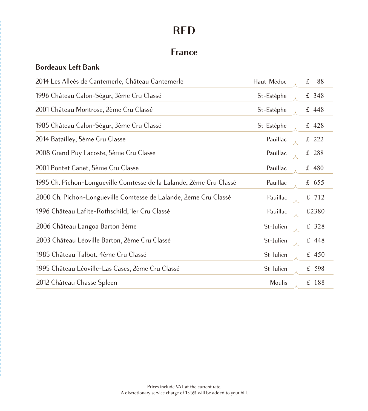### **France**

#### **Bordeaux Left Bank**

| 2014 Les Alleés de Cantemerle, Château Cantemerle                   | Haut-Médoc    | $\mathbf f$<br>88 |
|---------------------------------------------------------------------|---------------|-------------------|
| 1996 Château Calon-Ségur, 3ème Cru Classé                           | St-Estéphe    | £ 348             |
| 2001 Château Montrose, 2ème Cru Classé                              | St-Estéphe    | £448              |
| 1985 Château Calon-Ségur, 3ème Cru Classé                           | St-Estéphe    | £ 428             |
| 2014 Batailley, 5ème Cru Classe                                     | Pauillac      | £ 222             |
| 2008 Grand Puy Lacoste, 5ème Cru Classe                             | Pauillac      | £ 288             |
| 2001 Pontet Canet, 5ème Cru Classe                                  | Pauillac      | £ 480             |
| 1995 Ch. Pichon-Longueville Comtesse de la Lalande, 2ème Cru Classé | Pauillac      | £ 655             |
| 2000 Ch. Pichon-Longueville Comtesse de Lalande, 2ème Cru Classé    | Pauillac      | £ 712             |
| 1996 Château Lafite-Rothschild, 1er Cru Classé                      | Pauillac      | £2380             |
| 2006 Château Langoa Barton 3ème                                     | St-Julien     | £ 328             |
| 2003 Château Léoville Barton, 2ème Cru Classé                       | St-Julien     | £ 448             |
| 1985 Château Talbot, 4ème Cru Classé                                | St-Julien     | £ $450$           |
| 1995 Château Léoville-Las Cases, 2ème Cru Classé                    | St-Julien     | £ 598             |
| 2012 Château Chasse Spleen                                          | <b>Moulis</b> | £ 188             |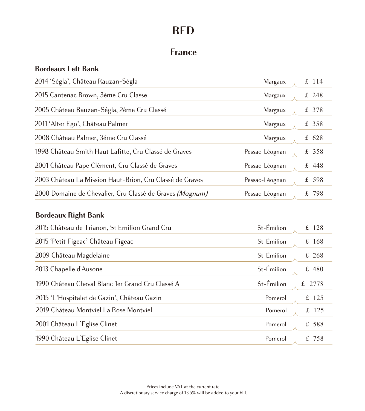### **France**

#### **Bordeaux Left Bank**

| 2014 'Ségla', Château Rauzan-Ségla                       | Margaux        | £ 114   |
|----------------------------------------------------------|----------------|---------|
| 2015 Cantenac Brown, 3ème Cru Classe                     | Margaux        | £ 248   |
| 2005 Château Rauzan-Ségla, 2ème Cru Classé               | Margaux        | £ 378   |
| 2011 'Alter Ego', Château Palmer                         | Margaux        | £ 358   |
| 2008 Château Palmer, 3éme Cru Classé                     | <b>Margaux</b> | £ $628$ |
| 1998 Château Smith Haut Lafitte, Cru Classé de Graves    | Pessac-Léognan | £ 358   |
| 2001 Château Pape Clément, Cru Classé de Graves          | Pessac-Léognan | $£$ 448 |
| 2003 Château La Mission Haut-Brion, Cru Classé de Graves | Pessac-Léognan | £ 598   |
| 2000 Domaine de Chevalier, Cru Classé de Graves (Magnum) | Pessac-Léognan | £798    |

#### **Bordeaux Right Bank**

| 2015 Château de Trianon, St Emilion Grand Cru    | St-Émilion | £ 128   |
|--------------------------------------------------|------------|---------|
| 2015 'Petit Figeac' Château Figeac               | St-Émilion | £168    |
| 2009 Château Magdelaine                          | St-Émilion | £ 268   |
| 2013 Chapelle d'Ausone                           | St-Émilion | £ 480   |
| 1990 Château Cheval Blanc 1er Grand Cru Classé A | St-Émilion | £ 2778  |
| 2015 'L'Hospitalet de Gazin', Château Gazin      | Pomerol    | £ 125   |
| 2019 Château Montviel La Rose Montviel           | Pomerol    | £ $125$ |
| 2001 Château L'Eglise Clinet                     | Pomerol    | £ 588   |
| 1990 Château L'Eglise Clinet                     | Pomerol    | £ 758   |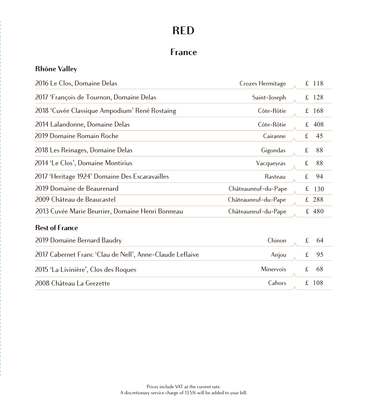## **France**

### **Rhône Valley**

| 2016 Le Clos, Domaine Delas                              | Crozes Hermitage    |             | £ 118   |
|----------------------------------------------------------|---------------------|-------------|---------|
| 2017 'François de Tournon, Domaine Delas                 | Saint-Joseph        | £           | 128     |
| 2018 'Cuvée Classique Ampodium' René Rostaing            | Côte-Rôtie          |             | £ $168$ |
| 2014 Lalandonne, Domaine Delas                           | Côte-Rôtie          | £           | 408     |
| 2019 Domaine Romain Roche                                | Cairanne            | $\pounds$   | 45      |
| 2018 Les Reinages, Domaine Delas                         | Gigondas            | $\pounds$   | 88      |
| 2014 'Le Clos', Domaine Montirius                        | Vacqueyras          | $\pounds$   | 88      |
| 2017 'Heritage 1924' Domaine Des Escaravailles           | Rasteau             | $\pounds$   | 94      |
| 2019 Domaine de Beaurenard                               | Châteauneuf-du-Pape | £           | 130     |
| 2009 Château de Beaucastel                               | Châteauneuf-du-Pape |             | £ 288   |
| 2013 Cuvée Marie Beurrier, Domaine Henri Bonneau         | Châteauneuf-du-Pape |             | £ 480   |
| <b>Rest of France</b>                                    |                     |             |         |
| 2019 Domaine Bernard Baudry                              | Chinon              | $\mathbf f$ | 64      |
| 2017 Cabernet Franc 'Clau de Nell', Anne-Claude Leflaive | Anjou               | $\pounds$   | 95      |
| 2015 'La Livinière', Clos des Roques                     | Minervois           | £           | 68      |
| 2008 Château La Grezette                                 | Cahors              | £           | 108     |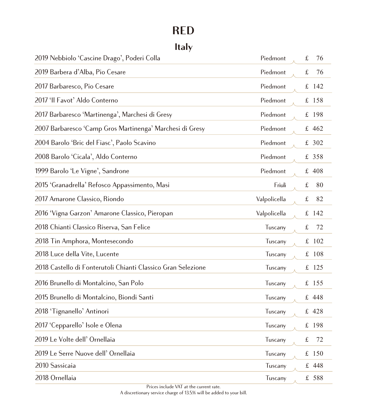# **Italy**

| 2019 Nebbiolo 'Cascine Drago', Poderi Colla                  | Piedmont     | $\pounds$<br>76  |
|--------------------------------------------------------------|--------------|------------------|
| 2019 Barbera d'Alba, Pio Cesare                              | Piedmont     | $\pounds$<br>76  |
| 2017 Barbaresco, Pio Cesare                                  | Piedmont     | £ 142            |
| 2017 'Il Favot' Aldo Conterno                                | Piedmont     | £ 158            |
| 2017 Barbaresco 'Martinenga', Marchesi di Gresy              | Piedmont     | £ 198            |
| 2007 Barbaresco 'Camp Gros Martinenga' Marchesi di Gresy     | Piedmont     | £ 462            |
| 2004 Barolo 'Bric del Fiasc', Paolo Scavino                  | Piedmont     | £ 302            |
| 2008 Barolo 'Cicala', Aldo Conterno                          | Piedmont     | £ 358            |
| 1999 Barolo 'Le Vigne', Sandrone                             | Piedmont     | £ 408            |
| 2015 'Granadrella' Refosco Appassimento, Masi                | Friuli       | £<br>80          |
| 2017 Amarone Classico, Riondo                                | Valpolicella | $\pounds$<br>82  |
| 2016 'Vigna Garzon' Amarone Classico, Pieropan               | Valpolicella | £ 142            |
| 2018 Chianti Classico Riserva, San Felice                    | Tuscany      | $\pounds$<br>72  |
| 2018 Tin Amphora, Montesecondo                               | Tuscany      | $\pounds$<br>102 |
| 2018 Luce della Vite, Lucente                                | Tuscany      | £ 108            |
| 2018 Castello di Fonterutoli Chianti Classico Gran Selezione | Tuscany      | £ 125            |
| 2016 Brunello di Montalcino, San Polo                        | Tuscany      | £ 155            |
| 2015 Brunello di Montalcino, Biondi Santi                    | Tuscany      | £ 448            |
| 2018 'Tignanello' Antinori                                   | Tuscany      | £ 428            |
| 2017 'Cepparello' Isole e Olena                              | Tuscany      | £ 198            |
| 2019 Le Volte dell' Ornellaia                                | Tuscany      | $\pounds$<br>72  |
| 2019 Le Serre Nuove dell' Ornellaia                          | Tuscany      | £ 150            |
| 2010 Sassicaia                                               | Tuscany      | £ 448            |
| 2018 Ornellaia                                               | Tuscany      | £ 588            |

Prices include VAT at the current rate.

A discretionary service charge of 13.5% will be added to your bill.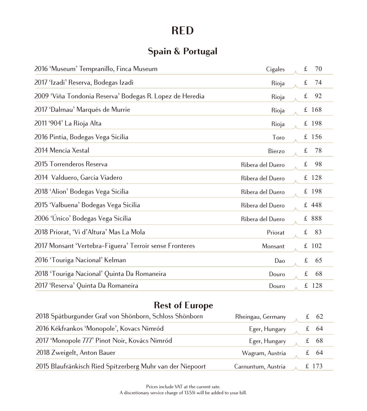## **Spain & Portugal**

| 2016 'Museum' Tempranillo, Finca Museum                  | Cigales          | $\pounds$<br>70    |
|----------------------------------------------------------|------------------|--------------------|
| 2017 'Izadi' Reserva, Bodegas Izadi                      | Rioja            | $\pounds$<br>74    |
| 2009 'Viña Tondonia Reserva' Bodegas R. Lopez de Heredia | Rioja            | $\pounds$<br>92    |
| 2017 'Dalmau' Marqués de Murrie                          | Rioja            | £ 168              |
| 2011 '904' La Rioja Alta                                 | Rioja            | $£$ 198            |
| 2016 Pintia, Bodegas Vega Sicilia                        | Toro             | £ 156              |
| 2014 Mencia Xestal                                       | Bierzo           | $\pounds$<br>78    |
| 2015 Torrenderos Reserva                                 | Ribera del Duero | $\mathbf f$<br>98  |
| 2014 Valduero, Garcia Viadero                            | Ribera del Duero | £ 128              |
| 2018 'Alion' Bodegas Vega Sicilia                        | Ribera del Duero | £ 198              |
| 2015 'Valbuena' Bodegas Vega Sicilia                     | Ribera del Duero | £ 448              |
| 2006 'Único' Bodegas Vega Sicilia                        | Ribera del Duero | £ 888              |
| 2018 Priorat, 'Vi d'Altura' Mas La Mola                  | Priorat          | $\pounds$<br>83    |
| 2017 Monsant 'Vertebra-Figuera' Terroir sense Fronteres  | Monsant          | 102<br>$f_{\rm L}$ |
| 2016 'Touriga Nacional' Kelman                           | Dao              | $\mathbf f$<br>65  |
| 2018 'Touriga Nacional' Quinta Da Romaneira              | Douro            | £<br>68            |
| 2017 'Reserva' Quinta Da Romaneira                       | Douro            | £ 128              |

# **Rest of Europe**

| 2018 Spätburgunder Graf von Shönborn, Schloss Shönborn    | Rheingau, Germany  | $\textsterling} 62$ |
|-----------------------------------------------------------|--------------------|---------------------|
| 2016 Kékfrankos 'Monopole', Kovacs Nimród                 | Eger, Hungary      | £ $64$              |
| 2017 'Monopole 777' Pinot Noir, Kovács Nimród             | Eger, Hungary      | $\textsterling} 68$ |
| 2018 Zweigelt, Anton Bauer                                | Wagram, Austria    | £ 64                |
| 2015 Blaufränkisch Ried Spitzerberg Muhr van der Niepoort | Carnuntum, Austria | £173                |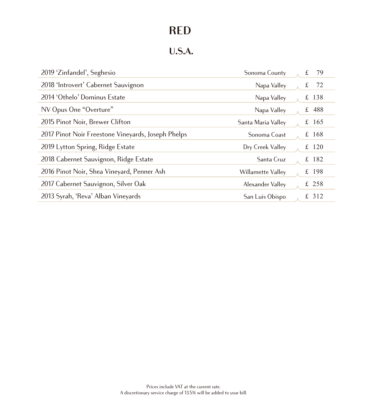## **U.S.A.**

| 2019 'Zinfandel', Seghesio                         | Sonoma County      | 79<br>£ |
|----------------------------------------------------|--------------------|---------|
| 2018 'Introvert' Cabernet Sauvignon                | Napa Valley        | 72<br>£ |
| 2014 'Othelo' Dominus Estate                       | Napa Valley        | £ 138   |
| NV Opus One "Overture"                             | Napa Valley        | £ $488$ |
| 2015 Pinot Noir, Brewer Clifton                    | Santa Maria Valley | £ 165   |
| 2017 Pinot Noir Freestone Vineyards, Joseph Phelps | Sonoma Coast       | £ $168$ |
| 2019 Lytton Spring, Ridge Estate                   | Dry Creek Valley   | £ $120$ |
| 2018 Cabernet Sauvignon, Ridge Estate              | Santa Cruz         | £ $182$ |
| 2016 Pinot Noir, Shea Vineyard, Penner Ash         | Willamette Valley  | £ 198   |
| 2017 Cabernet Sauvignon, Silver Oak                | Alexander Valley   | £ 258   |
| 2013 Syrah, 'Reva' Alban Vineyards                 | San Luis Obispo    | £ 312   |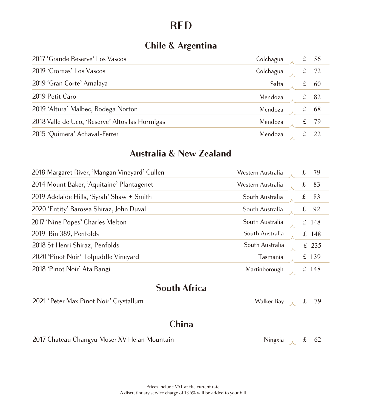## **Chile & Argentina**

| 2017 'Grande Reserve' Los Vascos                | Colchagua |    | 56 |
|-------------------------------------------------|-----------|----|----|
| 2019 'Cromas' Los Vascos                        | Colchagua |    | 72 |
| 2019 'Gran Corte' Amalaya                       | Salta     | t. | 60 |
| 2019 Petit Caro                                 | Mendoza   |    | 82 |
| 2019 'Altura' Malbec, Bodega Norton             | Mendoza   | £  | 68 |
| 2018 Valle de Uco, 'Reserve' Altos las Hormigas | Mendoza   | £  | 79 |
| 2015 'Quimera' Achaval-Ferrer                   | Mendoza   |    |    |

### **Australia & New Zealand**

| 2018 Margaret River, 'Mangan Vineyard' Cullen | Western Australia | £ | 79      |
|-----------------------------------------------|-------------------|---|---------|
| 2014 Mount Baker, 'Aquitaine' Plantagenet     | Western Australia | £ | 83      |
| 2019 Adelaide Hills, 'Syrah' Shaw + Smith     | South Australia   | £ | 83      |
| 2020 'Entity' Barossa Shiraz, John Duval      | South Australia   | £ | 92      |
| 2017 'Nine Popes' Charles Melton              | South Australia   |   | £ $148$ |
| 2019 Bin 389, Penfolds                        | South Australia   |   | £ $148$ |
| 2018 St Henri Shiraz, Penfolds                | South Australia   |   | £ 235   |
| 2020 'Pinot Noir' Tolpuddle Vineyard          | Tasmania          |   | £ 139   |
| 2018 'Pinot Noir' Ata Rangi                   | Martinborough     |   | £ 148   |

### **South Africa**

| 2021 'Peter Max Pinot Noir' Crystallum       | Walker Bay $\lambda$ £ 79 |  |
|----------------------------------------------|---------------------------|--|
| <b>China</b>                                 |                           |  |
| 2017 Chateau Changyu Moser XV Helan Mountain | Ningxia $\int$ £ 62       |  |